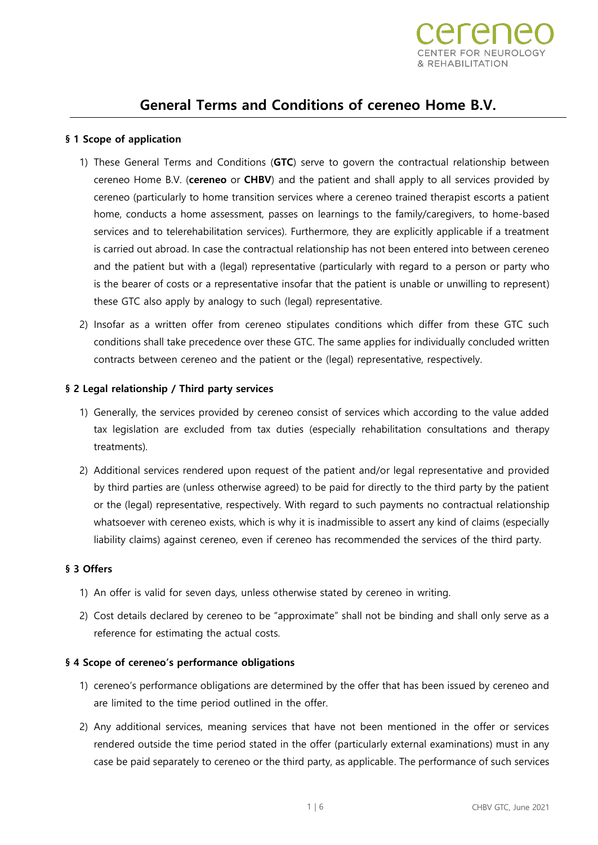

# **General Terms and Conditions of cereneo Home B.V.**

## **§ 1 Scope of application**

- 1) These General Terms and Conditions (**GTC**) serve to govern the contractual relationship between cereneo Home B.V. (**cereneo** or **CHBV**) and the patient and shall apply to all services provided by cereneo (particularly to home transition services where a cereneo trained therapist escorts a patient home, conducts a home assessment, passes on learnings to the family/caregivers, to home-based services and to telerehabilitation services). Furthermore, they are explicitly applicable if a treatment is carried out abroad. In case the contractual relationship has not been entered into between cereneo and the patient but with a (legal) representative (particularly with regard to a person or party who is the bearer of costs or a representative insofar that the patient is unable or unwilling to represent) these GTC also apply by analogy to such (legal) representative.
- 2) Insofar as a written offer from cereneo stipulates conditions which differ from these GTC such conditions shall take precedence over these GTC. The same applies for individually concluded written contracts between cereneo and the patient or the (legal) representative, respectively.

### **§ 2 Legal relationship / Third party services**

- 1) Generally, the services provided by cereneo consist of services which according to the value added tax legislation are excluded from tax duties (especially rehabilitation consultations and therapy treatments).
- 2) Additional services rendered upon request of the patient and/or legal representative and provided by third parties are (unless otherwise agreed) to be paid for directly to the third party by the patient or the (legal) representative, respectively. With regard to such payments no contractual relationship whatsoever with cereneo exists, which is why it is inadmissible to assert any kind of claims (especially liability claims) against cereneo, even if cereneo has recommended the services of the third party.

### **§ 3 Offers**

- 1) An offer is valid for seven days, unless otherwise stated by cereneo in writing.
- 2) Cost details declared by cereneo to be "approximate" shall not be binding and shall only serve as a reference for estimating the actual costs.

### **§ 4 Scope of cereneo's performance obligations**

- 1) cereneo's performance obligations are determined by the offer that has been issued by cereneo and are limited to the time period outlined in the offer.
- 2) Any additional services, meaning services that have not been mentioned in the offer or services rendered outside the time period stated in the offer (particularly external examinations) must in any case be paid separately to cereneo or the third party, as applicable. The performance of such services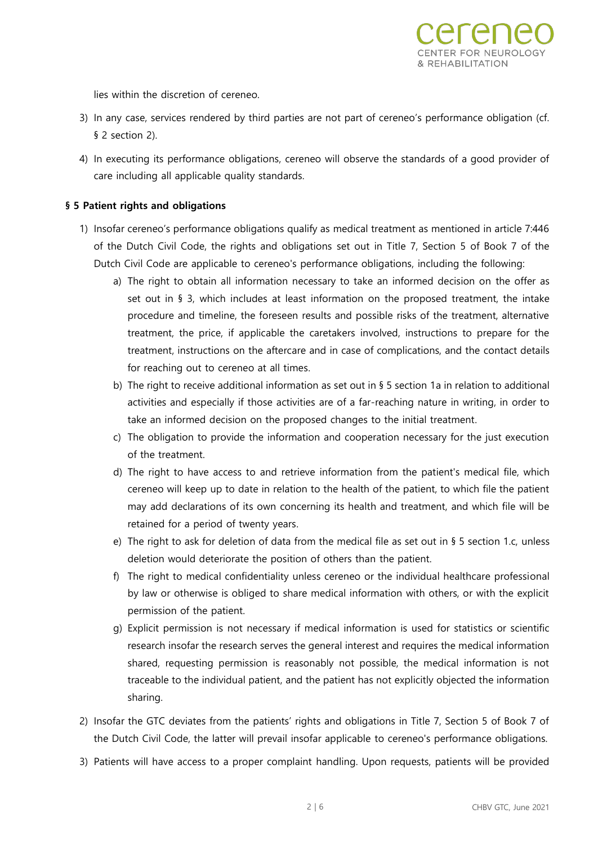lies within the discretion of cereneo.

3) In any case, services rendered by third parties are not part of cereneo's performance obligation (cf. § 2 section 2).

**REHABILITATION** 

4) In executing its performance obligations, cereneo will observe the standards of a good provider of care including all applicable quality standards.

# **§ 5 Patient rights and obligations**

- 1) Insofar cereneo's performance obligations qualify as medical treatment as mentioned in article 7:446 of the Dutch Civil Code, the rights and obligations set out in Title 7, Section 5 of Book 7 of the Dutch Civil Code are applicable to cereneo's performance obligations, including the following:
	- a) The right to obtain all information necessary to take an informed decision on the offer as set out in § 3, which includes at least information on the proposed treatment, the intake procedure and timeline, the foreseen results and possible risks of the treatment, alternative treatment, the price, if applicable the caretakers involved, instructions to prepare for the treatment, instructions on the aftercare and in case of complications, and the contact details for reaching out to cereneo at all times.
	- b) The right to receive additional information as set out in § 5 section 1a in relation to additional activities and especially if those activities are of a far-reaching nature in writing, in order to take an informed decision on the proposed changes to the initial treatment.
	- c) The obligation to provide the information and cooperation necessary for the just execution of the treatment.
	- d) The right to have access to and retrieve information from the patient's medical file, which cereneo will keep up to date in relation to the health of the patient, to which file the patient may add declarations of its own concerning its health and treatment, and which file will be retained for a period of twenty years.
	- e) The right to ask for deletion of data from the medical file as set out in § 5 section 1.c, unless deletion would deteriorate the position of others than the patient.
	- f) The right to medical confidentiality unless cereneo or the individual healthcare professional by law or otherwise is obliged to share medical information with others, or with the explicit permission of the patient.
	- g) Explicit permission is not necessary if medical information is used for statistics or scientific research insofar the research serves the general interest and requires the medical information shared, requesting permission is reasonably not possible, the medical information is not traceable to the individual patient, and the patient has not explicitly objected the information sharing.
- 2) Insofar the GTC deviates from the patients' rights and obligations in Title 7, Section 5 of Book 7 of the Dutch Civil Code, the latter will prevail insofar applicable to cereneo's performance obligations.
- 3) Patients will have access to a proper complaint handling. Upon requests, patients will be provided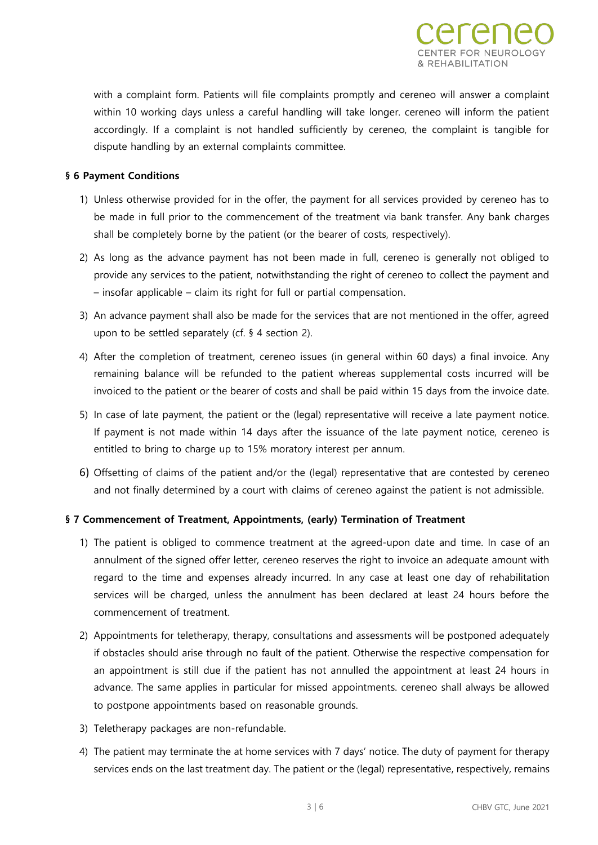with a complaint form. Patients will file complaints promptly and cereneo will answer a complaint within 10 working days unless a careful handling will take longer. cereneo will inform the patient accordingly. If a complaint is not handled sufficiently by cereneo, the complaint is tangible for dispute handling by an external complaints committee.

FHARILITATION

## **§ 6 Payment Conditions**

- 1) Unless otherwise provided for in the offer, the payment for all services provided by cereneo has to be made in full prior to the commencement of the treatment via bank transfer. Any bank charges shall be completely borne by the patient (or the bearer of costs, respectively).
- 2) As long as the advance payment has not been made in full, cereneo is generally not obliged to provide any services to the patient, notwithstanding the right of cereneo to collect the payment and – insofar applicable – claim its right for full or partial compensation.
- 3) An advance payment shall also be made for the services that are not mentioned in the offer, agreed upon to be settled separately (cf. § 4 section 2).
- 4) After the completion of treatment, cereneo issues (in general within 60 days) a final invoice. Any remaining balance will be refunded to the patient whereas supplemental costs incurred will be invoiced to the patient or the bearer of costs and shall be paid within 15 days from the invoice date.
- 5) In case of late payment, the patient or the (legal) representative will receive a late payment notice. If payment is not made within 14 days after the issuance of the late payment notice, cereneo is entitled to bring to charge up to 15% moratory interest per annum.
- 6) Offsetting of claims of the patient and/or the (legal) representative that are contested by cereneo and not finally determined by a court with claims of cereneo against the patient is not admissible.

# **§ 7 Commencement of Treatment, Appointments, (early) Termination of Treatment**

- 1) The patient is obliged to commence treatment at the agreed-upon date and time. In case of an annulment of the signed offer letter, cereneo reserves the right to invoice an adequate amount with regard to the time and expenses already incurred. In any case at least one day of rehabilitation services will be charged, unless the annulment has been declared at least 24 hours before the commencement of treatment.
- 2) Appointments for teletherapy, therapy, consultations and assessments will be postponed adequately if obstacles should arise through no fault of the patient. Otherwise the respective compensation for an appointment is still due if the patient has not annulled the appointment at least 24 hours in advance. The same applies in particular for missed appointments. cereneo shall always be allowed to postpone appointments based on reasonable grounds.
- 3) Teletherapy packages are non-refundable.
- 4) The patient may terminate the at home services with 7 days' notice. The duty of payment for therapy services ends on the last treatment day. The patient or the (legal) representative, respectively, remains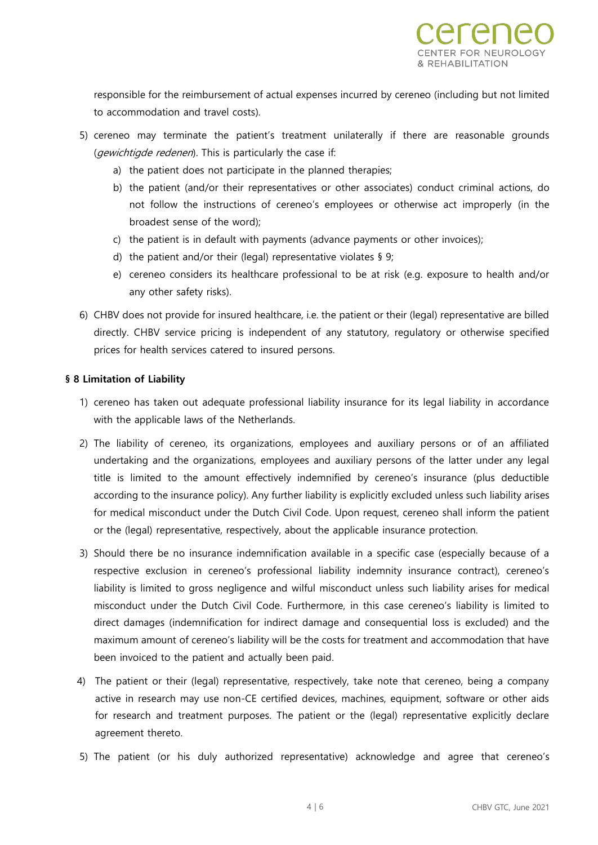responsible for the reimbursement of actual expenses incurred by cereneo (including but not limited to accommodation and travel costs).

- 5) cereneo may terminate the patient's treatment unilaterally if there are reasonable grounds (*gewichtigde redenen*). This is particularly the case if:
	- a) the patient does not participate in the planned therapies;
	- b) the patient (and/or their representatives or other associates) conduct criminal actions, do not follow the instructions of cereneo's employees or otherwise act improperly (in the broadest sense of the word);
	- c) the patient is in default with payments (advance payments or other invoices);
	- d) the patient and/or their (legal) representative violates § 9;
	- e) cereneo considers its healthcare professional to be at risk (e.g. exposure to health and/or any other safety risks).
- 6) CHBV does not provide for insured healthcare, i.e. the patient or their (legal) representative are billed directly. CHBV service pricing is independent of any statutory, regulatory or otherwise specified prices for health services catered to insured persons.

# **§ 8 Limitation of Liability**

- 1) cereneo has taken out adequate professional liability insurance for its legal liability in accordance with the applicable laws of the Netherlands.
- 2) The liability of cereneo, its organizations, employees and auxiliary persons or of an affiliated undertaking and the organizations, employees and auxiliary persons of the latter under any legal title is limited to the amount effectively indemnified by cereneo's insurance (plus deductible according to the insurance policy). Any further liability is explicitly excluded unless such liability arises for medical misconduct under the Dutch Civil Code. Upon request, cereneo shall inform the patient or the (legal) representative, respectively, about the applicable insurance protection.
- 3) Should there be no insurance indemnification available in a specific case (especially because of a respective exclusion in cereneo's professional liability indemnity insurance contract), cereneo's liability is limited to gross negligence and wilful misconduct unless such liability arises for medical misconduct under the Dutch Civil Code. Furthermore, in this case cereneo's liability is limited to direct damages (indemnification for indirect damage and consequential loss is excluded) and the maximum amount of cereneo's liability will be the costs for treatment and accommodation that have been invoiced to the patient and actually been paid.
- 4) The patient or their (legal) representative, respectively, take note that cereneo, being a company active in research may use non-CE certified devices, machines, equipment, software or other aids for research and treatment purposes. The patient or the (legal) representative explicitly declare agreement thereto.
- 5) The patient (or his duly authorized representative) acknowledge and agree that cereneo's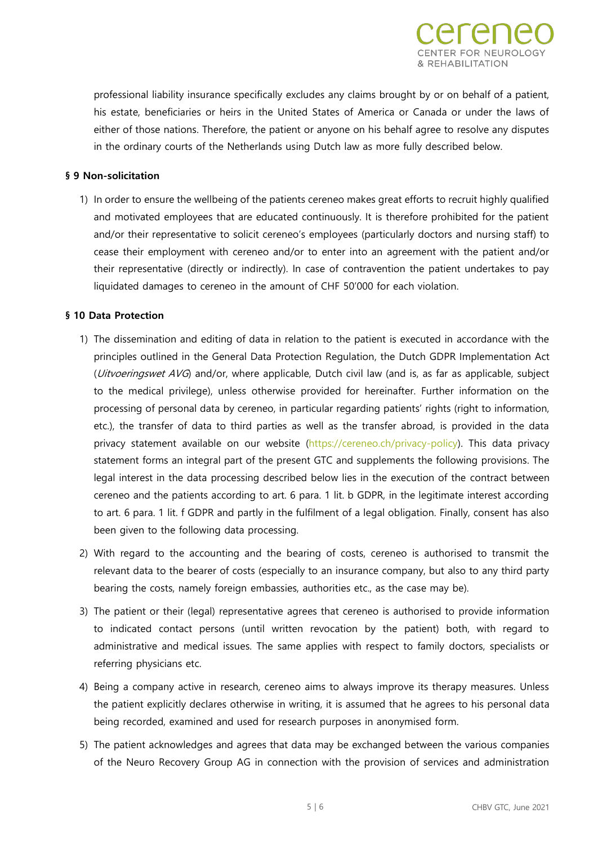

REHABILITATION

#### **§ 9 Non-solicitation**

1) In order to ensure the wellbeing of the patients cereneo makes great efforts to recruit highly qualified and motivated employees that are educated continuously. It is therefore prohibited for the patient and/or their representative to solicit cereneo's employees (particularly doctors and nursing staff) to cease their employment with cereneo and/or to enter into an agreement with the patient and/or their representative (directly or indirectly). In case of contravention the patient undertakes to pay liquidated damages to cereneo in the amount of CHF 50'000 for each violation.

#### **§ 10 Data Protection**

- 1) The dissemination and editing of data in relation to the patient is executed in accordance with the principles outlined in the General Data Protection Regulation, the Dutch GDPR Implementation Act (*Uitvoeringswet AVG*) and/or, where applicable, Dutch civil law (and is, as far as applicable, subject to the medical privilege), unless otherwise provided for hereinafter. Further information on the processing of personal data by cereneo, in particular regarding patients' rights (right to information, etc.), the transfer of data to third parties as well as the transfer abroad, is provided in the data privacy statement available on our website [\(https://cereneo.ch/privacy-policy\)](https://cereneo.ch/privacy-policy). This data privacy statement forms an integral part of the present GTC and supplements the following provisions. The legal interest in the data processing described below lies in the execution of the contract between cereneo and the patients according to art. 6 para. 1 lit. b GDPR, in the legitimate interest according to art. 6 para. 1 lit. f GDPR and partly in the fulfilment of a legal obligation. Finally, consent has also been given to the following data processing.
- 2) With regard to the accounting and the bearing of costs, cereneo is authorised to transmit the relevant data to the bearer of costs (especially to an insurance company, but also to any third party bearing the costs, namely foreign embassies, authorities etc., as the case may be).
- 3) The patient or their (legal) representative agrees that cereneo is authorised to provide information to indicated contact persons (until written revocation by the patient) both, with regard to administrative and medical issues. The same applies with respect to family doctors, specialists or referring physicians etc.
- 4) Being a company active in research, cereneo aims to always improve its therapy measures. Unless the patient explicitly declares otherwise in writing, it is assumed that he agrees to his personal data being recorded, examined and used for research purposes in anonymised form.
- 5) The patient acknowledges and agrees that data may be exchanged between the various companies of the Neuro Recovery Group AG in connection with the provision of services and administration